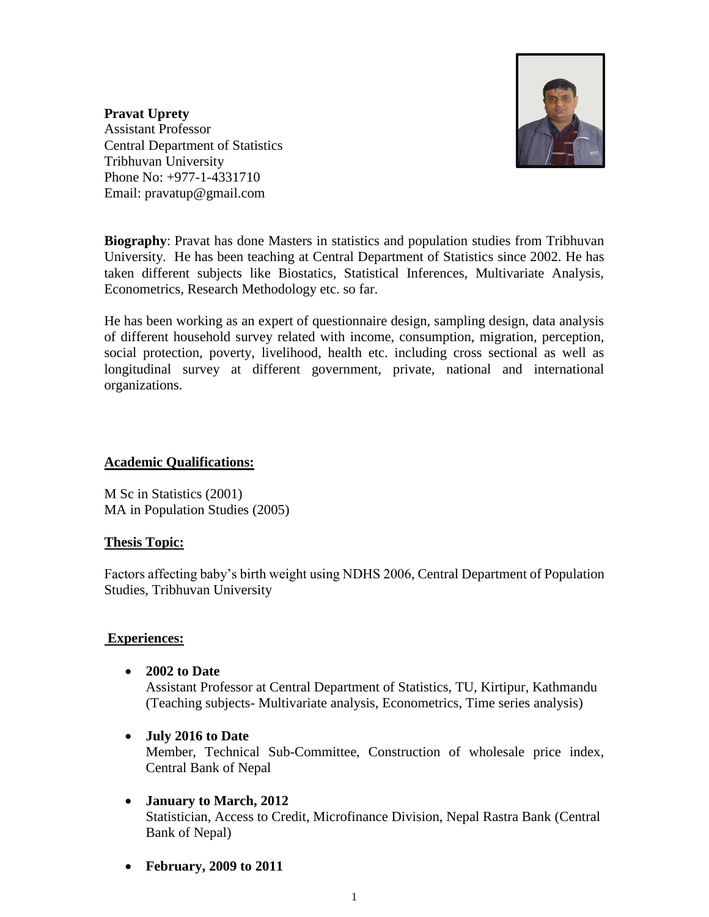

**Pravat Uprety** Assistant Professor Central Department of Statistics Tribhuvan University Phone No: +977-1-4331710 Email: pravatup@gmail.com

**Biography**: Pravat has done Masters in statistics and population studies from Tribhuvan University. He has been teaching at Central Department of Statistics since 2002. He has taken different subjects like Biostatics, Statistical Inferences, Multivariate Analysis, Econometrics, Research Methodology etc. so far.

He has been working as an expert of questionnaire design, sampling design, data analysis of different household survey related with income, consumption, migration, perception, social protection, poverty, livelihood, health etc. including cross sectional as well as longitudinal survey at different government, private, national and international organizations.

## **Academic Qualifications:**

M Sc in Statistics (2001) MA in Population Studies (2005)

### **Thesis Topic:**

Factors affecting baby's birth weight using NDHS 2006, Central Department of Population Studies, Tribhuvan University

### **Experiences:**

**2002 to Date**

Assistant Professor at Central Department of Statistics, TU, Kirtipur, Kathmandu (Teaching subjects- Multivariate analysis, Econometrics, Time series analysis)

**July 2016 to Date** 

Member, Technical Sub-Committee, Construction of wholesale price index, Central Bank of Nepal

- **January to March, 2012** Statistician, Access to Credit, Microfinance Division, Nepal Rastra Bank (Central Bank of Nepal)
- **February, 2009 to 2011**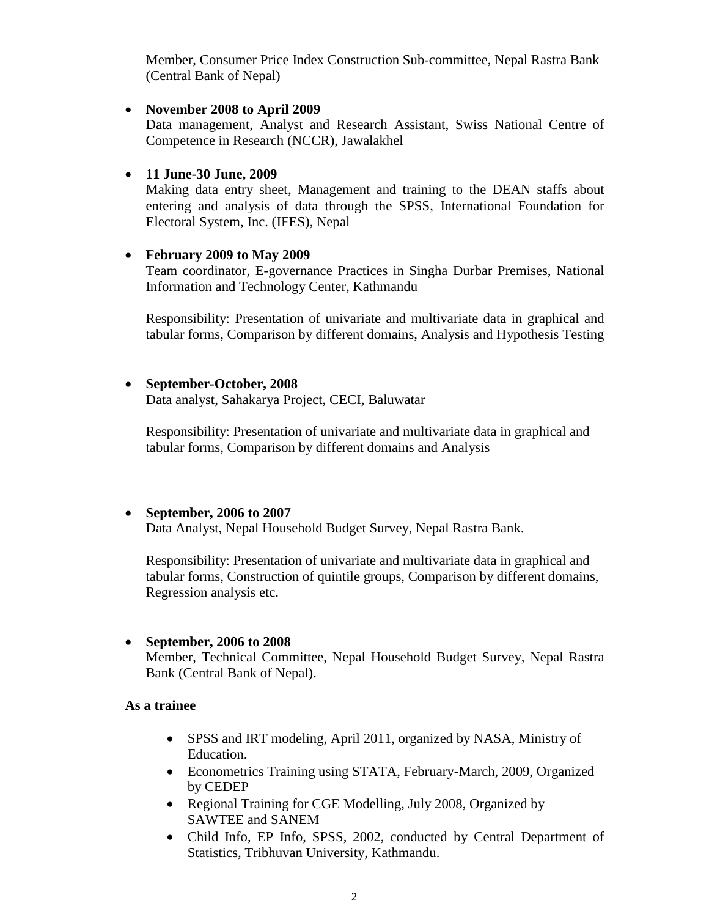Member, Consumer Price Index Construction Sub-committee, Nepal Rastra Bank (Central Bank of Nepal)

### **November 2008 to April 2009**

Data management, Analyst and Research Assistant, Swiss National Centre of Competence in Research (NCCR), Jawalakhel

#### **11 June-30 June, 2009**

Making data entry sheet, Management and training to the DEAN staffs about entering and analysis of data through the SPSS, International Foundation for Electoral System, Inc. (IFES), Nepal

#### **February 2009 to May 2009**

Team coordinator, E-governance Practices in Singha Durbar Premises, National Information and Technology Center, Kathmandu

Responsibility: Presentation of univariate and multivariate data in graphical and tabular forms, Comparison by different domains, Analysis and Hypothesis Testing

### **September-October, 2008**

Data analyst, Sahakarya Project, CECI, Baluwatar

Responsibility: Presentation of univariate and multivariate data in graphical and tabular forms, Comparison by different domains and Analysis

### **September, 2006 to 2007**

Data Analyst, Nepal Household Budget Survey, Nepal Rastra Bank.

Responsibility: Presentation of univariate and multivariate data in graphical and tabular forms, Construction of quintile groups, Comparison by different domains, Regression analysis etc.

### **September, 2006 to 2008**

Member, Technical Committee, Nepal Household Budget Survey, Nepal Rastra Bank (Central Bank of Nepal).

### **As a trainee**

- SPSS and IRT modeling, April 2011, organized by NASA, Ministry of Education.
- Econometrics Training using STATA, February-March, 2009, Organized by CEDEP
- Regional Training for CGE Modelling, July 2008, Organized by SAWTEE and SANEM
- Child Info, EP Info, SPSS, 2002, conducted by Central Department of Statistics, Tribhuvan University, Kathmandu.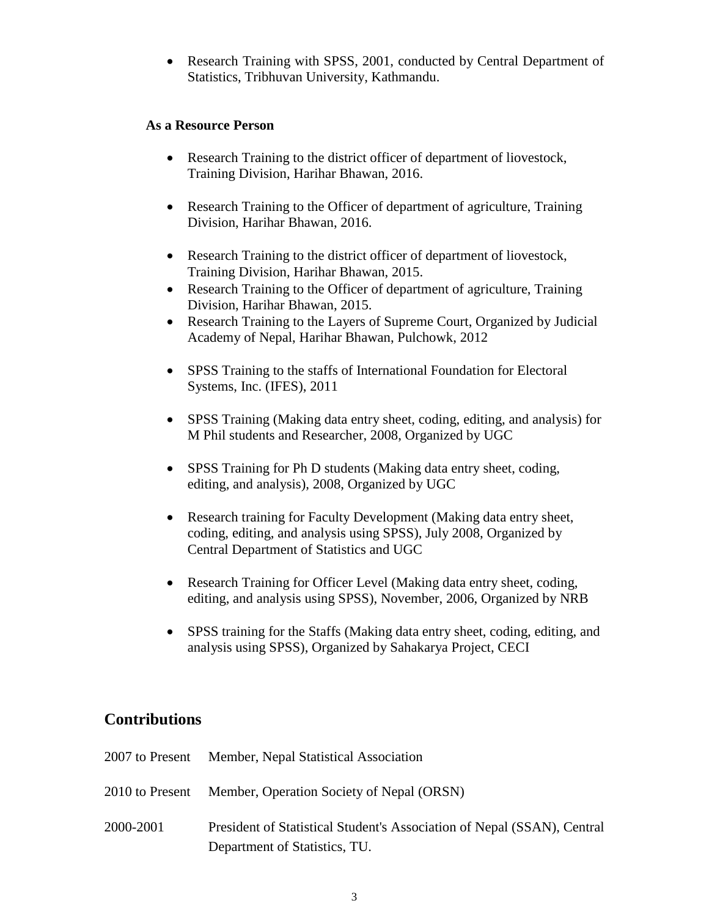Research Training with SPSS, 2001, conducted by Central Department of Statistics, Tribhuvan University, Kathmandu.

## **As a Resource Person**

- Research Training to the district officer of department of liovestock, Training Division, Harihar Bhawan, 2016.
- Research Training to the Officer of department of agriculture, Training Division, Harihar Bhawan, 2016.
- Research Training to the district officer of department of liovestock, Training Division, Harihar Bhawan, 2015.
- Research Training to the Officer of department of agriculture, Training Division, Harihar Bhawan, 2015.
- Research Training to the Layers of Supreme Court, Organized by Judicial Academy of Nepal, Harihar Bhawan, Pulchowk, 2012
- SPSS Training to the staffs of International Foundation for Electoral Systems, Inc. (IFES), 2011
- SPSS Training (Making data entry sheet, coding, editing, and analysis) for M Phil students and Researcher, 2008, Organized by UGC
- SPSS Training for Ph D students (Making data entry sheet, coding, editing, and analysis), 2008, Organized by UGC
- Research training for Faculty Development (Making data entry sheet, coding, editing, and analysis using SPSS), July 2008, Organized by Central Department of Statistics and UGC
- Research Training for Officer Level (Making data entry sheet, coding, editing, and analysis using SPSS), November, 2006, Organized by NRB
- SPSS training for the Staffs (Making data entry sheet, coding, editing, and analysis using SPSS), Organized by Sahakarya Project, CECI

# **Contributions**

|           | 2007 to Present Member, Nepal Statistical Association                                                    |
|-----------|----------------------------------------------------------------------------------------------------------|
|           | 2010 to Present Member, Operation Society of Nepal (ORSN)                                                |
| 2000-2001 | President of Statistical Student's Association of Nepal (SSAN), Central<br>Department of Statistics, TU. |